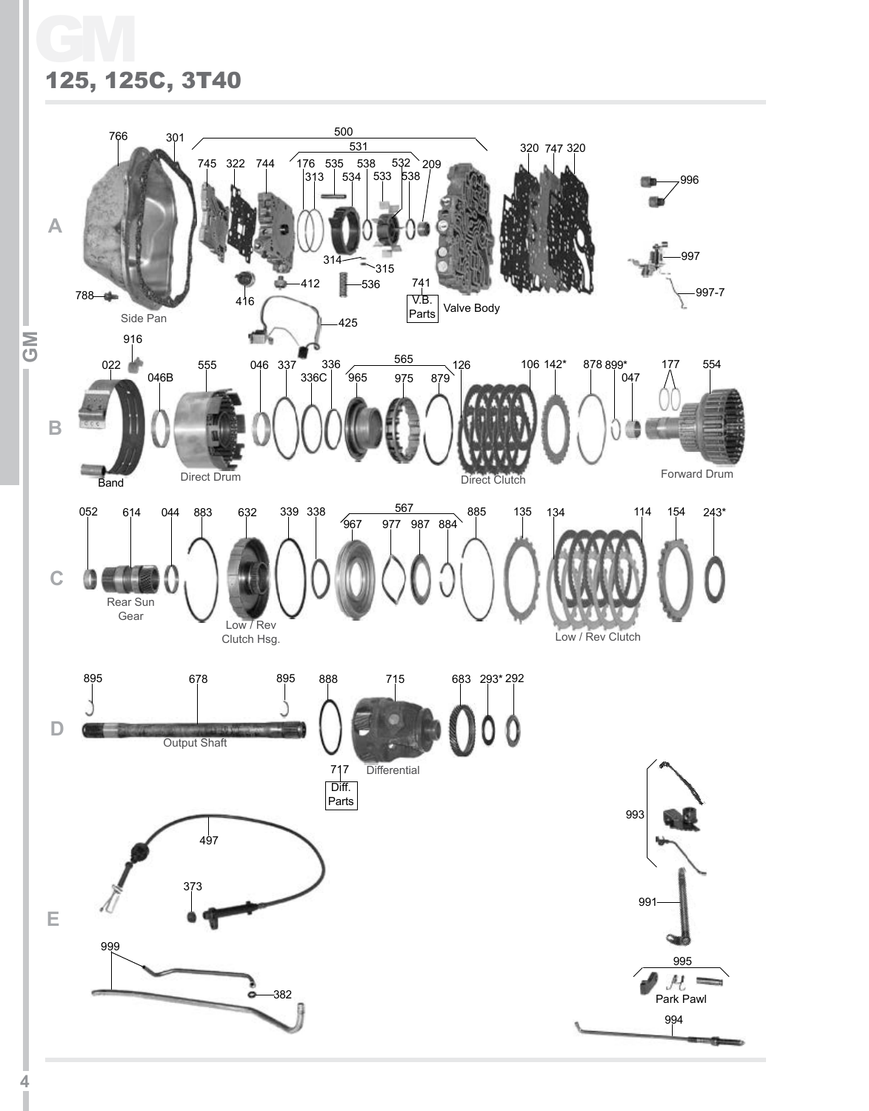# GM 125, 125C, 3T40

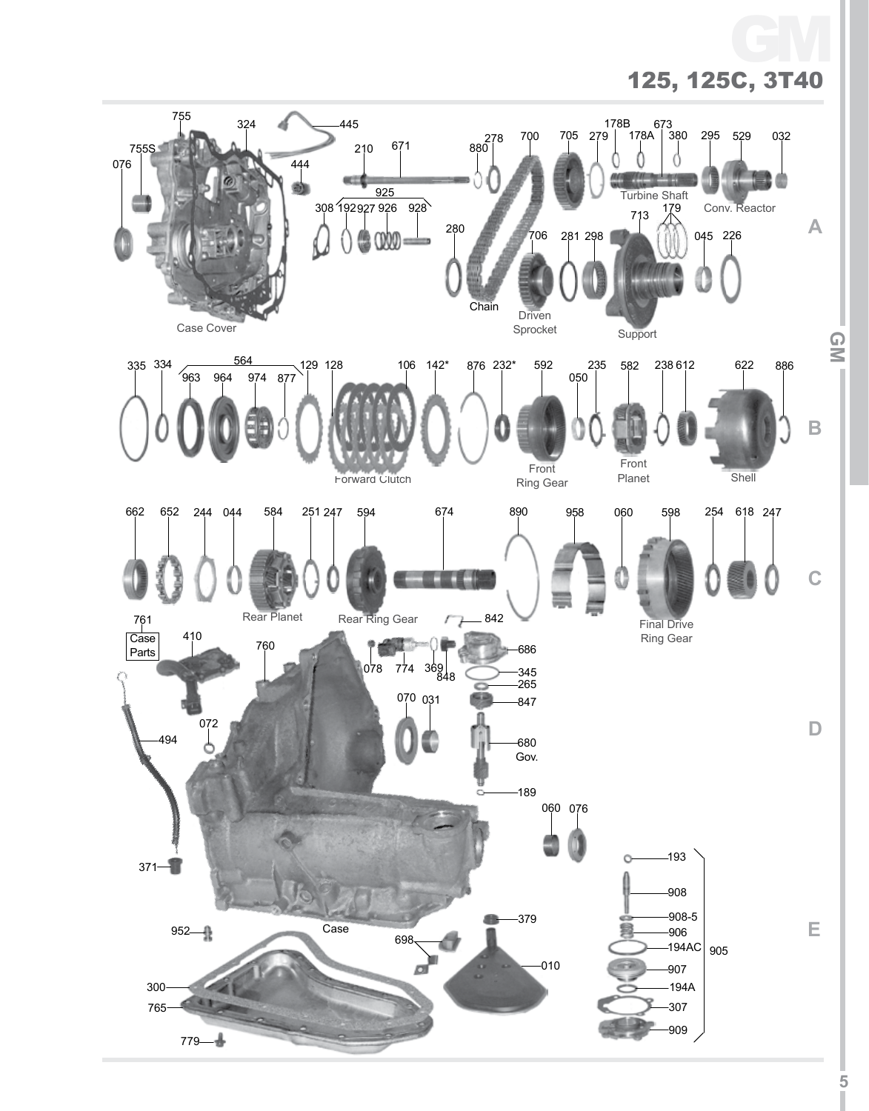# 125, 125C, 3T40 GM

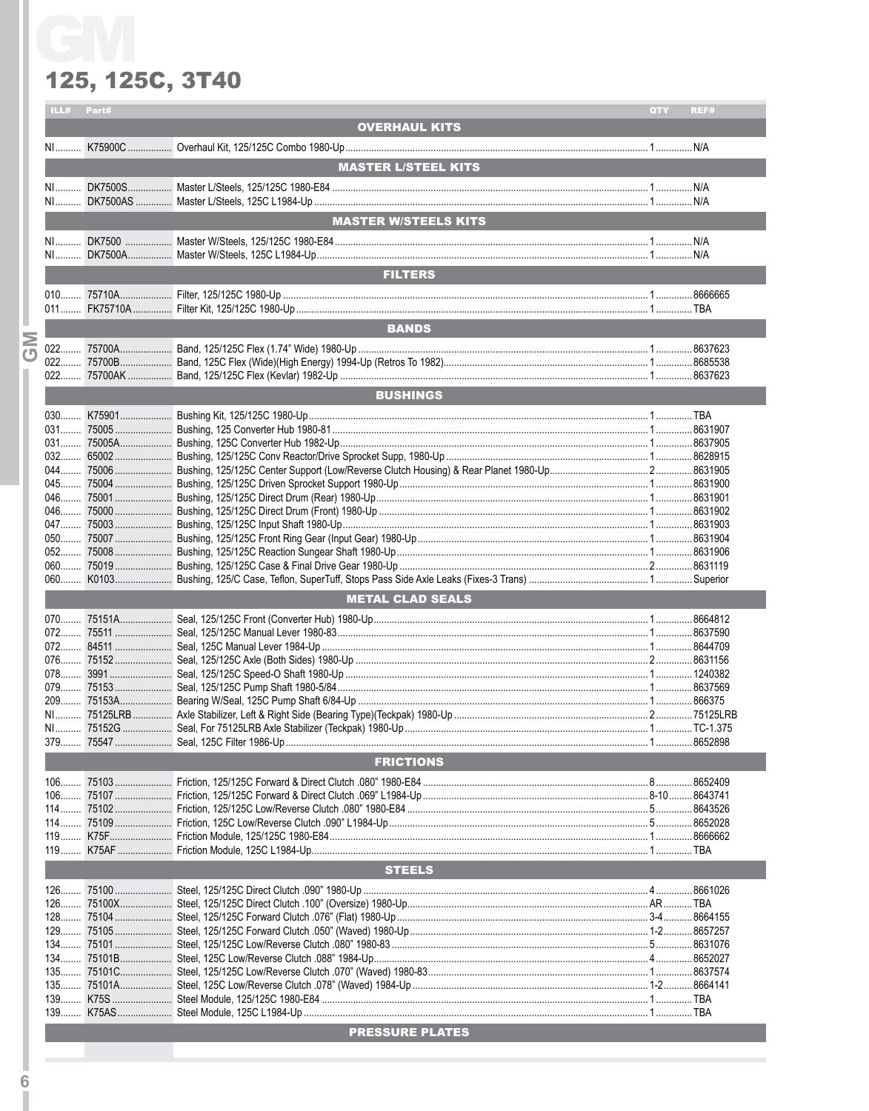|           | ILL# | Part#            |                                                                                                                                                                                      | QTY | REF# |  |  |  |
|-----------|------|------------------|--------------------------------------------------------------------------------------------------------------------------------------------------------------------------------------|-----|------|--|--|--|
|           |      |                  | <b>OVERHAUL KITS</b>                                                                                                                                                                 |     |      |  |  |  |
|           |      |                  |                                                                                                                                                                                      |     |      |  |  |  |
|           |      |                  |                                                                                                                                                                                      |     |      |  |  |  |
|           |      |                  | <b>MASTER L/STEEL KITS</b><br>$\mathcal{L}(\mathcal{L})$ and $\mathcal{L}(\mathcal{L})$ and $\mathcal{L}(\mathcal{L})$ and $\mathcal{L}(\mathcal{L})$ and $\mathcal{L}(\mathcal{L})$ |     |      |  |  |  |
|           |      |                  |                                                                                                                                                                                      |     |      |  |  |  |
|           |      |                  |                                                                                                                                                                                      |     |      |  |  |  |
|           |      |                  | MASTER W/STEELS KITS                                                                                                                                                                 |     |      |  |  |  |
|           |      |                  |                                                                                                                                                                                      |     |      |  |  |  |
|           |      |                  |                                                                                                                                                                                      |     |      |  |  |  |
|           |      |                  |                                                                                                                                                                                      |     |      |  |  |  |
|           |      |                  | <b>FILTERS</b>                                                                                                                                                                       |     |      |  |  |  |
|           |      |                  |                                                                                                                                                                                      |     |      |  |  |  |
|           |      |                  |                                                                                                                                                                                      |     |      |  |  |  |
|           |      |                  | <b>BANDS</b>                                                                                                                                                                         |     |      |  |  |  |
| Σ         |      |                  |                                                                                                                                                                                      |     |      |  |  |  |
| $\bullet$ |      |                  |                                                                                                                                                                                      |     |      |  |  |  |
|           |      |                  |                                                                                                                                                                                      |     |      |  |  |  |
|           |      |                  |                                                                                                                                                                                      |     |      |  |  |  |
|           |      |                  | <b>BUSHINGS</b>                                                                                                                                                                      |     |      |  |  |  |
|           |      |                  |                                                                                                                                                                                      |     |      |  |  |  |
|           |      |                  |                                                                                                                                                                                      |     |      |  |  |  |
|           |      |                  |                                                                                                                                                                                      |     |      |  |  |  |
|           |      |                  |                                                                                                                                                                                      |     |      |  |  |  |
|           |      |                  |                                                                                                                                                                                      |     |      |  |  |  |
|           |      |                  |                                                                                                                                                                                      |     |      |  |  |  |
|           |      |                  |                                                                                                                                                                                      |     |      |  |  |  |
|           |      |                  |                                                                                                                                                                                      |     |      |  |  |  |
|           |      |                  |                                                                                                                                                                                      |     |      |  |  |  |
|           |      |                  |                                                                                                                                                                                      |     |      |  |  |  |
|           |      |                  |                                                                                                                                                                                      |     |      |  |  |  |
|           |      |                  |                                                                                                                                                                                      |     |      |  |  |  |
|           |      |                  | <b>METAL CLAD SEALS</b>                                                                                                                                                              |     |      |  |  |  |
|           |      |                  |                                                                                                                                                                                      |     |      |  |  |  |
|           |      |                  |                                                                                                                                                                                      |     |      |  |  |  |
|           |      |                  |                                                                                                                                                                                      |     |      |  |  |  |
|           |      |                  |                                                                                                                                                                                      |     |      |  |  |  |
|           |      |                  |                                                                                                                                                                                      |     |      |  |  |  |
|           |      |                  |                                                                                                                                                                                      |     |      |  |  |  |
|           |      |                  |                                                                                                                                                                                      |     |      |  |  |  |
|           |      |                  |                                                                                                                                                                                      |     |      |  |  |  |
|           |      |                  |                                                                                                                                                                                      |     |      |  |  |  |
|           |      |                  | 379 75547 Seal, 125C Filter 1986-Up                                                                                                                                                  |     |      |  |  |  |
|           |      | <b>FRICTIONS</b> |                                                                                                                                                                                      |     |      |  |  |  |
|           |      |                  |                                                                                                                                                                                      |     |      |  |  |  |
|           |      |                  |                                                                                                                                                                                      |     |      |  |  |  |
|           |      |                  |                                                                                                                                                                                      |     |      |  |  |  |
|           |      |                  |                                                                                                                                                                                      |     |      |  |  |  |
|           |      |                  |                                                                                                                                                                                      |     |      |  |  |  |
|           |      |                  |                                                                                                                                                                                      |     |      |  |  |  |
|           |      |                  | <b>STEELS</b>                                                                                                                                                                        |     |      |  |  |  |
|           |      |                  |                                                                                                                                                                                      |     |      |  |  |  |
|           |      |                  |                                                                                                                                                                                      |     |      |  |  |  |
|           |      |                  |                                                                                                                                                                                      |     |      |  |  |  |
|           |      |                  |                                                                                                                                                                                      |     |      |  |  |  |
|           |      |                  |                                                                                                                                                                                      |     |      |  |  |  |
|           |      |                  |                                                                                                                                                                                      |     |      |  |  |  |
|           |      |                  |                                                                                                                                                                                      |     |      |  |  |  |
|           |      |                  |                                                                                                                                                                                      |     |      |  |  |  |
|           |      |                  |                                                                                                                                                                                      |     |      |  |  |  |
|           |      |                  |                                                                                                                                                                                      |     |      |  |  |  |
|           |      |                  | <b>EXAMPLE DESCRIPTION AT EXAMPLE 2004 THE SECOND SERVICE SERVICE SERVICE SERVICE SERVICE SERVICE SERVICE SERVICE</b>                                                                |     |      |  |  |  |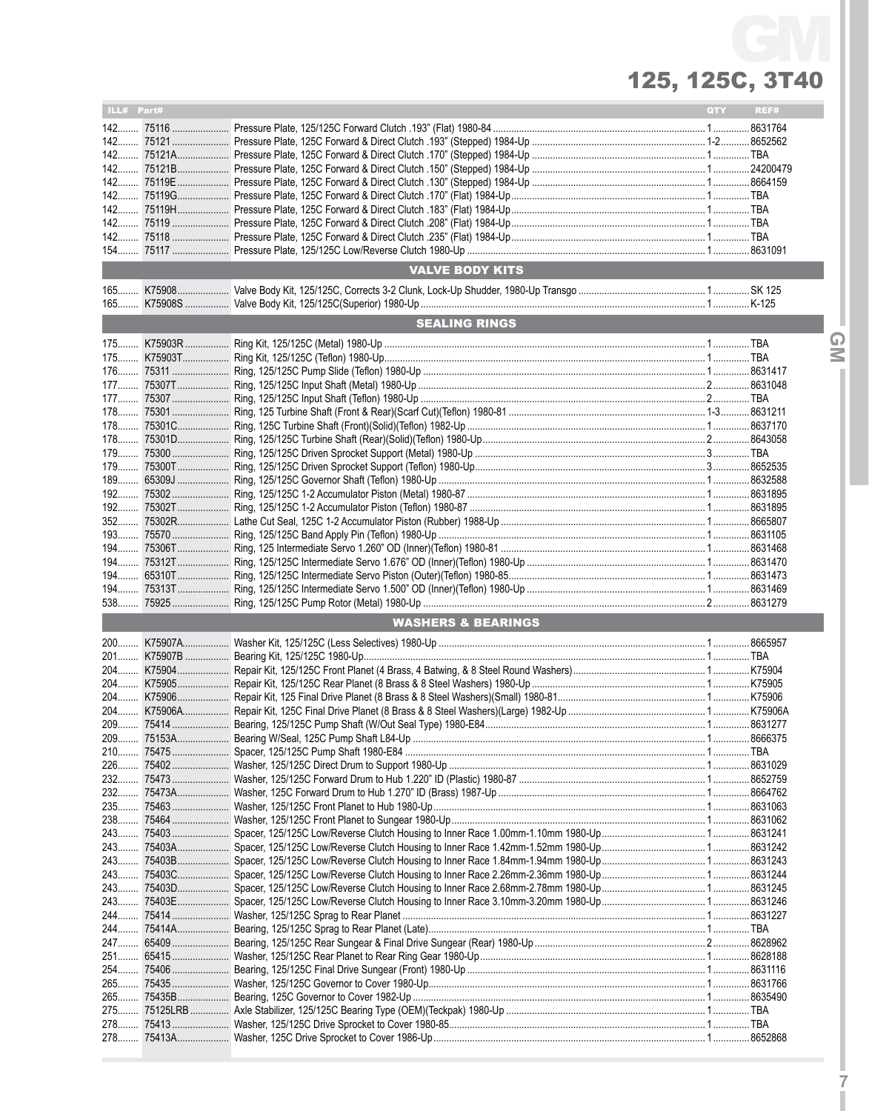# 125, 125C, 3T40 GM

| ILL# Part# |                                                                                  | <b>QTY</b> | REF# |
|------------|----------------------------------------------------------------------------------|------------|------|
|            |                                                                                  |            |      |
|            |                                                                                  |            |      |
|            |                                                                                  |            |      |
|            |                                                                                  |            |      |
|            |                                                                                  |            |      |
|            |                                                                                  |            |      |
|            |                                                                                  |            |      |
|            |                                                                                  |            |      |
|            |                                                                                  |            |      |
|            |                                                                                  |            |      |
|            | <b>VALVE BODY KITS</b>                                                           |            |      |
|            |                                                                                  |            |      |
|            |                                                                                  |            |      |
|            | <b>SEALING RINGS</b>                                                             |            |      |
|            |                                                                                  |            |      |
|            |                                                                                  |            |      |
|            |                                                                                  |            |      |
|            |                                                                                  |            |      |
|            |                                                                                  |            |      |
|            |                                                                                  |            |      |
|            |                                                                                  |            |      |
|            |                                                                                  |            |      |
|            |                                                                                  |            |      |
| 189        |                                                                                  |            |      |
|            |                                                                                  |            |      |
|            |                                                                                  |            |      |
|            |                                                                                  |            |      |
|            |                                                                                  |            |      |
|            |                                                                                  |            |      |
| $194$      |                                                                                  |            |      |
|            |                                                                                  |            |      |
|            |                                                                                  |            |      |
|            |                                                                                  |            |      |
|            | <b>WASHERS &amp; BEARINGS</b><br><u> 1989 - Johann Barnett, fransk politik (</u> |            |      |
|            |                                                                                  |            |      |
|            |                                                                                  |            |      |
|            |                                                                                  |            |      |
|            |                                                                                  |            |      |
|            |                                                                                  |            |      |
|            |                                                                                  |            |      |
|            |                                                                                  |            |      |
|            |                                                                                  |            |      |
|            |                                                                                  |            |      |
| 226        |                                                                                  |            |      |
|            |                                                                                  |            |      |
|            |                                                                                  |            |      |
|            |                                                                                  |            |      |
| 243        |                                                                                  |            |      |
| 243        |                                                                                  |            |      |
|            |                                                                                  |            |      |
|            |                                                                                  |            |      |
|            |                                                                                  |            |      |
| 243        |                                                                                  |            |      |
|            |                                                                                  |            |      |
| 244        |                                                                                  |            |      |
|            |                                                                                  |            |      |
|            |                                                                                  |            |      |
|            |                                                                                  |            |      |
|            |                                                                                  |            |      |
|            |                                                                                  |            |      |
|            |                                                                                  |            |      |
|            |                                                                                  |            |      |
|            |                                                                                  |            |      |

**7**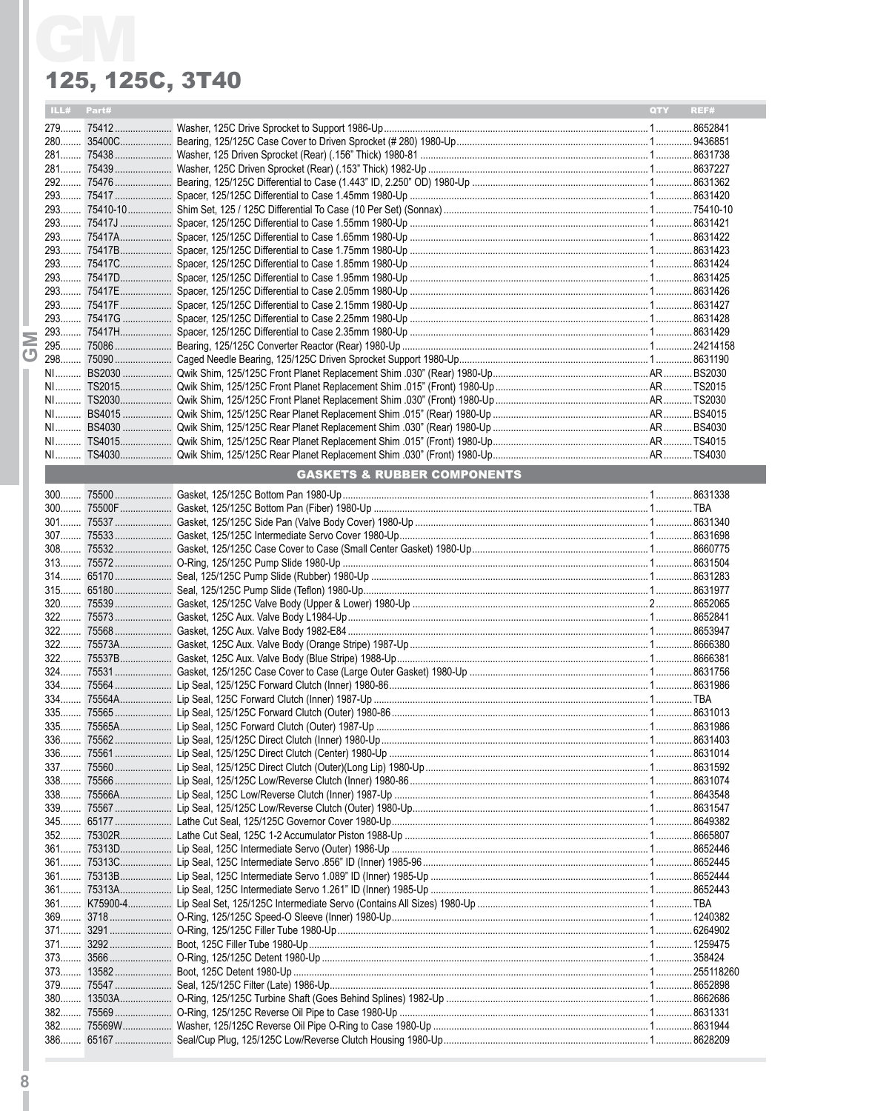|   | ILL# Part# |                                        | QTY REF# |  |
|---|------------|----------------------------------------|----------|--|
|   |            |                                        |          |  |
|   |            |                                        |          |  |
|   |            |                                        |          |  |
|   |            |                                        |          |  |
|   |            |                                        |          |  |
|   |            |                                        |          |  |
|   |            |                                        |          |  |
|   |            |                                        |          |  |
|   |            |                                        |          |  |
|   |            |                                        |          |  |
|   |            |                                        |          |  |
|   |            |                                        |          |  |
|   |            |                                        |          |  |
|   |            |                                        |          |  |
|   |            |                                        |          |  |
| Σ |            |                                        |          |  |
| ஶ |            |                                        |          |  |
|   |            |                                        |          |  |
|   |            |                                        |          |  |
|   |            |                                        |          |  |
|   |            |                                        |          |  |
|   |            |                                        |          |  |
|   |            |                                        |          |  |
|   |            |                                        |          |  |
|   |            | <b>GASKETS &amp; RUBBER COMPONENTS</b> |          |  |
|   |            |                                        |          |  |
|   |            |                                        |          |  |
|   |            |                                        |          |  |
|   |            |                                        |          |  |
|   |            |                                        |          |  |
|   |            |                                        |          |  |
|   |            |                                        |          |  |
|   |            |                                        |          |  |
|   |            |                                        |          |  |
|   |            |                                        |          |  |
|   |            |                                        |          |  |
|   |            |                                        |          |  |
|   |            |                                        |          |  |
|   |            |                                        |          |  |
|   |            |                                        |          |  |
|   |            |                                        |          |  |
|   |            |                                        |          |  |
|   |            |                                        |          |  |
|   |            |                                        |          |  |
|   |            |                                        |          |  |
|   |            |                                        |          |  |
|   |            |                                        |          |  |
|   |            |                                        |          |  |
|   |            |                                        |          |  |
|   |            |                                        |          |  |
|   |            |                                        |          |  |
|   |            |                                        |          |  |
|   |            |                                        |          |  |
|   |            |                                        |          |  |
|   |            |                                        |          |  |
|   |            |                                        |          |  |
|   |            |                                        |          |  |
|   |            |                                        |          |  |
|   |            |                                        |          |  |
|   |            |                                        |          |  |
|   |            |                                        |          |  |
|   |            |                                        |          |  |
|   |            |                                        |          |  |
|   |            |                                        |          |  |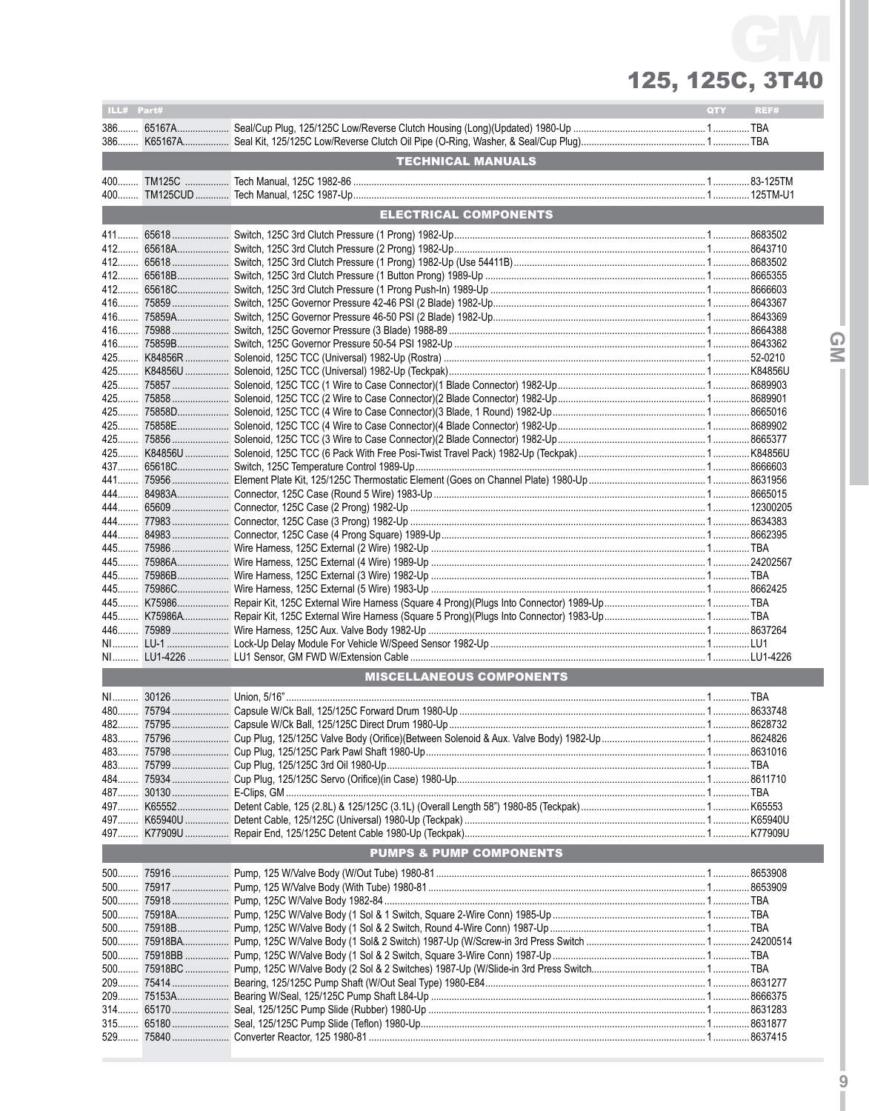| ILL# Part# |                                    | <b>QTY</b> | REF# |
|------------|------------------------------------|------------|------|
|            |                                    |            |      |
|            |                                    |            |      |
|            |                                    |            |      |
|            | <b>TECHNICAL MANUALS</b>           |            |      |
|            |                                    |            |      |
|            |                                    |            |      |
|            | <b>ELECTRICAL COMPONENTS</b>       |            |      |
|            |                                    |            |      |
|            |                                    |            |      |
|            |                                    |            |      |
|            |                                    |            |      |
|            |                                    |            |      |
|            |                                    |            |      |
|            |                                    |            |      |
|            |                                    |            |      |
|            |                                    |            |      |
|            |                                    |            |      |
|            |                                    |            |      |
|            |                                    |            |      |
|            |                                    |            |      |
|            |                                    |            |      |
|            |                                    |            |      |
|            |                                    |            |      |
|            |                                    |            |      |
|            |                                    |            |      |
|            |                                    |            |      |
|            |                                    |            |      |
|            |                                    |            |      |
|            |                                    |            |      |
|            |                                    |            |      |
|            |                                    |            |      |
|            |                                    |            |      |
|            |                                    |            |      |
| 445        |                                    |            |      |
|            |                                    |            |      |
|            |                                    |            |      |
|            |                                    |            |      |
|            |                                    |            |      |
|            | <b>MISCELLANEOUS COMPONENTS</b>    |            |      |
|            |                                    |            |      |
|            |                                    |            |      |
|            |                                    |            |      |
|            |                                    |            |      |
|            |                                    |            |      |
|            |                                    |            |      |
|            |                                    |            |      |
|            |                                    |            |      |
|            |                                    |            |      |
|            |                                    |            |      |
|            |                                    |            |      |
|            | <b>PUMPS &amp; PUMP COMPONENTS</b> |            |      |
|            |                                    |            |      |
|            |                                    |            |      |
|            |                                    |            |      |
|            |                                    |            |      |
|            |                                    |            |      |
|            |                                    |            |      |
|            |                                    |            |      |
|            |                                    |            |      |
|            |                                    |            |      |
|            |                                    |            |      |
|            |                                    |            |      |
|            |                                    |            |      |
|            |                                    |            |      |
|            |                                    |            |      |

 $\frac{1}{9}$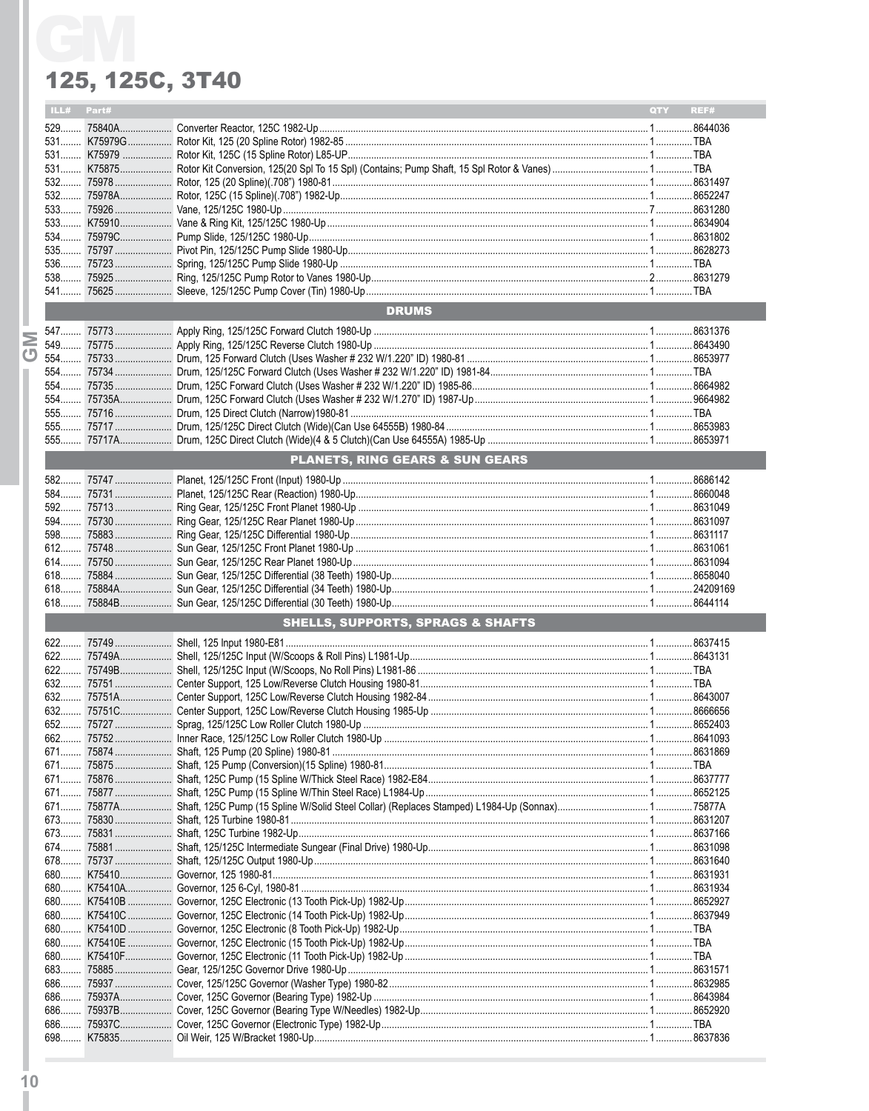|  | ILL# | Part# |                                            | <b>QTY</b> | REF# |
|--|------|-------|--------------------------------------------|------------|------|
|  |      |       |                                            |            |      |
|  |      |       |                                            |            |      |
|  |      |       |                                            |            |      |
|  |      |       |                                            |            |      |
|  |      |       |                                            |            |      |
|  |      |       |                                            |            |      |
|  |      |       |                                            |            |      |
|  |      |       |                                            |            |      |
|  |      |       |                                            |            |      |
|  |      |       |                                            |            |      |
|  |      |       |                                            |            |      |
|  |      |       |                                            |            |      |
|  |      |       |                                            |            |      |
|  |      |       | <b>DRUMS</b>                               |            |      |
|  |      |       |                                            |            |      |
|  |      |       |                                            |            |      |
|  |      |       |                                            |            |      |
|  |      |       |                                            |            |      |
|  |      |       |                                            |            |      |
|  |      |       |                                            |            |      |
|  |      |       |                                            |            |      |
|  |      |       |                                            |            |      |
|  |      |       |                                            |            |      |
|  |      |       | <b>PLANETS, RING GEARS &amp; SUN GEARS</b> |            |      |
|  |      |       |                                            |            |      |
|  |      |       |                                            |            |      |
|  |      |       |                                            |            |      |
|  |      |       |                                            |            |      |
|  |      |       |                                            |            |      |
|  |      |       |                                            |            |      |
|  |      |       |                                            |            |      |
|  |      |       |                                            |            |      |
|  |      |       |                                            |            |      |
|  |      |       |                                            |            |      |
|  |      |       | SHELLS, SUPPORTS, SPRAGS & SHAFTS          |            |      |
|  |      |       |                                            |            |      |
|  |      |       |                                            |            |      |
|  |      |       |                                            |            |      |
|  |      |       |                                            |            |      |
|  |      |       |                                            |            |      |
|  |      |       |                                            |            |      |
|  |      |       |                                            |            |      |
|  |      |       |                                            |            |      |
|  |      |       |                                            |            |      |
|  |      |       |                                            |            |      |
|  |      |       |                                            |            |      |
|  |      |       |                                            |            |      |
|  |      |       |                                            |            |      |
|  |      |       |                                            |            |      |
|  |      |       |                                            |            |      |
|  |      |       |                                            |            |      |
|  |      |       |                                            |            |      |
|  |      |       |                                            |            |      |
|  | 680  |       |                                            |            |      |
|  |      |       |                                            |            |      |
|  |      |       |                                            |            |      |
|  |      |       |                                            |            |      |
|  |      |       |                                            |            |      |
|  |      |       |                                            |            |      |
|  | 686  |       |                                            |            |      |
|  | 686  |       |                                            |            |      |
|  | 686  |       |                                            |            |      |
|  | 698  |       |                                            |            |      |
|  |      |       |                                            |            |      |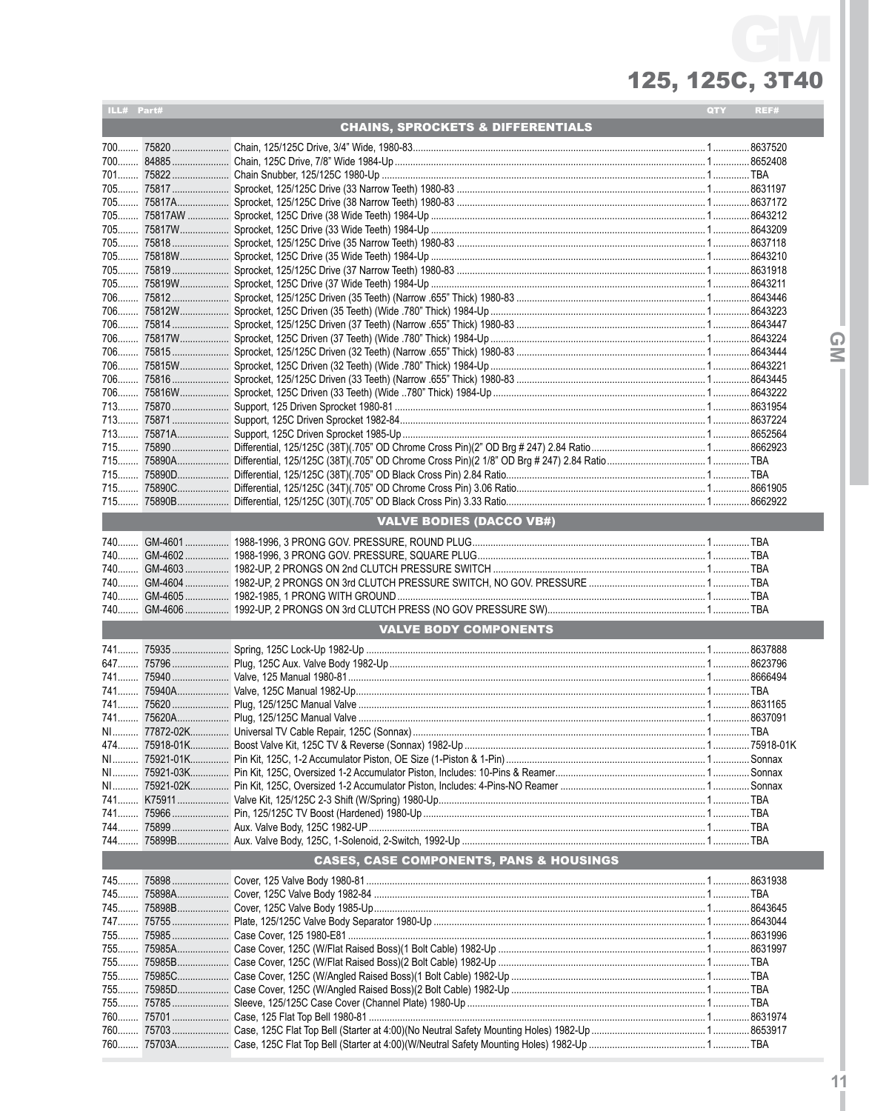| ILL# Part# |                                              |                                         | QTY | REF# |  |  |  |
|------------|----------------------------------------------|-----------------------------------------|-----|------|--|--|--|
|            | <b>CHAINS, SPROCKETS &amp; DIFFERENTIALS</b> |                                         |     |      |  |  |  |
|            |                                              |                                         |     |      |  |  |  |
|            |                                              |                                         |     |      |  |  |  |
|            |                                              |                                         |     |      |  |  |  |
|            |                                              |                                         |     |      |  |  |  |
|            |                                              |                                         |     |      |  |  |  |
|            |                                              |                                         |     |      |  |  |  |
|            |                                              |                                         |     |      |  |  |  |
|            |                                              |                                         |     |      |  |  |  |
|            |                                              |                                         |     |      |  |  |  |
|            |                                              |                                         |     |      |  |  |  |
|            |                                              |                                         |     |      |  |  |  |
|            |                                              |                                         |     |      |  |  |  |
|            |                                              |                                         |     |      |  |  |  |
|            |                                              |                                         |     |      |  |  |  |
|            |                                              |                                         |     |      |  |  |  |
|            |                                              |                                         |     |      |  |  |  |
|            |                                              |                                         |     |      |  |  |  |
|            |                                              |                                         |     |      |  |  |  |
|            |                                              |                                         |     |      |  |  |  |
|            |                                              |                                         |     |      |  |  |  |
|            |                                              |                                         |     |      |  |  |  |
|            |                                              |                                         |     |      |  |  |  |
|            |                                              |                                         |     |      |  |  |  |
|            |                                              |                                         |     |      |  |  |  |
|            |                                              |                                         |     |      |  |  |  |
|            |                                              |                                         |     |      |  |  |  |
|            |                                              |                                         |     |      |  |  |  |
|            |                                              | <b>VALVE BODIES (DACCO VB#)</b>         |     |      |  |  |  |
|            |                                              |                                         |     |      |  |  |  |
|            |                                              |                                         |     |      |  |  |  |
|            |                                              |                                         |     |      |  |  |  |
|            |                                              |                                         |     |      |  |  |  |
|            |                                              |                                         |     |      |  |  |  |
|            |                                              |                                         |     |      |  |  |  |
|            |                                              | <b>VALVE BODY COMPONENTS</b>            |     |      |  |  |  |
|            |                                              |                                         |     |      |  |  |  |
|            |                                              |                                         |     |      |  |  |  |
|            |                                              |                                         |     |      |  |  |  |
|            |                                              |                                         |     |      |  |  |  |
|            |                                              |                                         |     |      |  |  |  |
|            |                                              |                                         |     |      |  |  |  |
|            |                                              |                                         |     |      |  |  |  |
|            |                                              |                                         |     |      |  |  |  |
|            |                                              |                                         |     |      |  |  |  |
|            |                                              |                                         |     |      |  |  |  |
|            |                                              |                                         |     |      |  |  |  |
|            |                                              |                                         |     |      |  |  |  |
|            |                                              |                                         |     |      |  |  |  |
|            |                                              |                                         |     |      |  |  |  |
|            |                                              |                                         |     |      |  |  |  |
|            |                                              | CASES, CASE COMPONENTS, PANS & HOUSINGS |     |      |  |  |  |
|            |                                              |                                         |     |      |  |  |  |
|            |                                              |                                         |     |      |  |  |  |
|            |                                              |                                         |     |      |  |  |  |
|            |                                              |                                         |     |      |  |  |  |
|            |                                              |                                         |     |      |  |  |  |
|            |                                              |                                         |     |      |  |  |  |
|            |                                              |                                         |     |      |  |  |  |
|            |                                              |                                         |     |      |  |  |  |
|            |                                              |                                         |     |      |  |  |  |
|            |                                              |                                         |     |      |  |  |  |
|            |                                              |                                         |     |      |  |  |  |
|            |                                              |                                         |     |      |  |  |  |
|            |                                              |                                         |     |      |  |  |  |

 $\overline{Q}$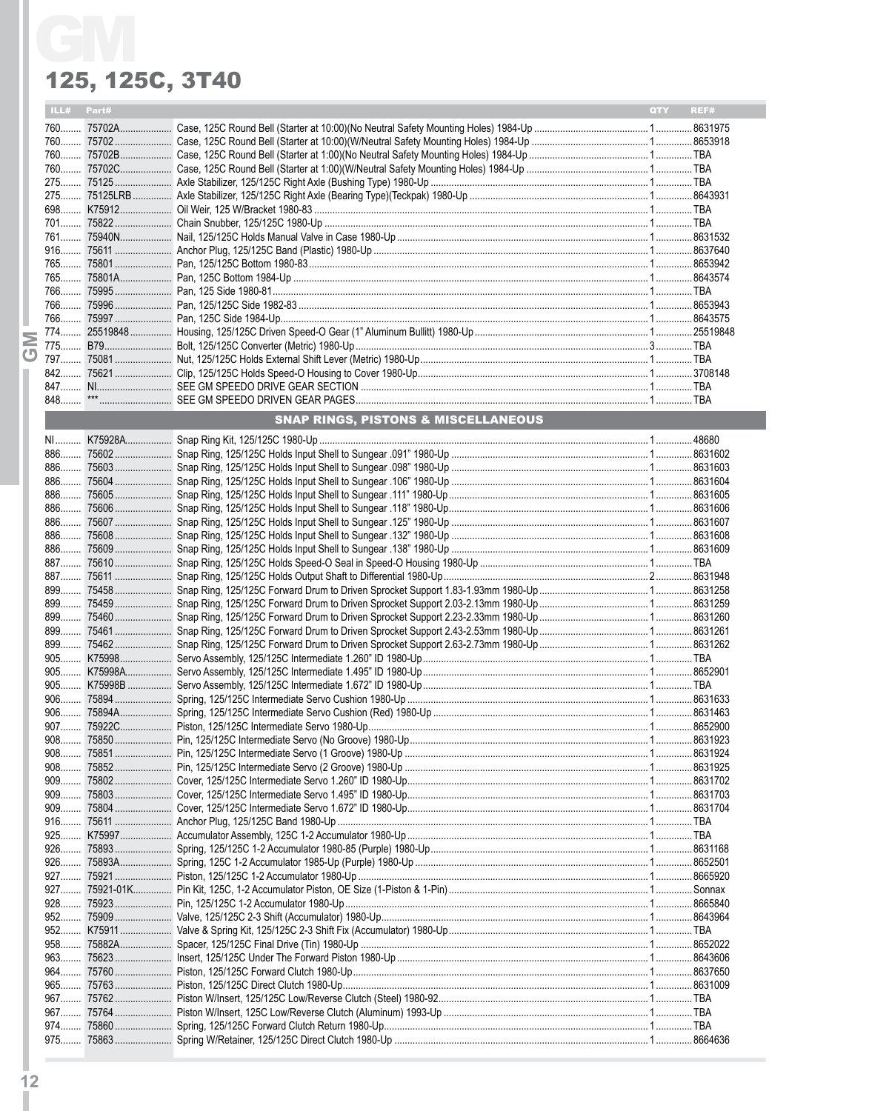| <b>ILL#</b> Part# |                                                |  | <b>QTY</b> | REF# |  |  |  |
|-------------------|------------------------------------------------|--|------------|------|--|--|--|
|                   |                                                |  |            |      |  |  |  |
|                   |                                                |  |            |      |  |  |  |
|                   |                                                |  |            |      |  |  |  |
|                   |                                                |  |            |      |  |  |  |
|                   |                                                |  |            |      |  |  |  |
|                   |                                                |  |            |      |  |  |  |
|                   |                                                |  |            |      |  |  |  |
|                   |                                                |  |            |      |  |  |  |
|                   |                                                |  |            |      |  |  |  |
|                   |                                                |  |            |      |  |  |  |
|                   |                                                |  |            |      |  |  |  |
|                   |                                                |  |            |      |  |  |  |
|                   |                                                |  |            |      |  |  |  |
|                   |                                                |  |            |      |  |  |  |
|                   |                                                |  |            |      |  |  |  |
|                   |                                                |  |            |      |  |  |  |
|                   |                                                |  |            |      |  |  |  |
|                   |                                                |  |            |      |  |  |  |
|                   |                                                |  |            |      |  |  |  |
|                   |                                                |  |            |      |  |  |  |
|                   |                                                |  |            |      |  |  |  |
|                   | <b>SNAP RINGS. PISTONS &amp; MISCELLANEOUS</b> |  |            |      |  |  |  |

| 886   |  |  |
|-------|--|--|
| $886$ |  |  |
| 886   |  |  |
| $886$ |  |  |
| 886   |  |  |
| 886   |  |  |
| 886   |  |  |
| 887   |  |  |
| 887   |  |  |
| 899   |  |  |
| 899   |  |  |
| 899   |  |  |
| 899   |  |  |
| 899   |  |  |
| $905$ |  |  |
|       |  |  |
|       |  |  |
| $906$ |  |  |
| $906$ |  |  |
|       |  |  |
|       |  |  |
|       |  |  |
|       |  |  |
| $909$ |  |  |
| $909$ |  |  |
| $909$ |  |  |
| $916$ |  |  |
|       |  |  |
|       |  |  |
| $926$ |  |  |
|       |  |  |
|       |  |  |
|       |  |  |
|       |  |  |
|       |  |  |
| $958$ |  |  |
| $963$ |  |  |
| $964$ |  |  |
| $965$ |  |  |
| $967$ |  |  |
|       |  |  |
| $974$ |  |  |
|       |  |  |

**NP**